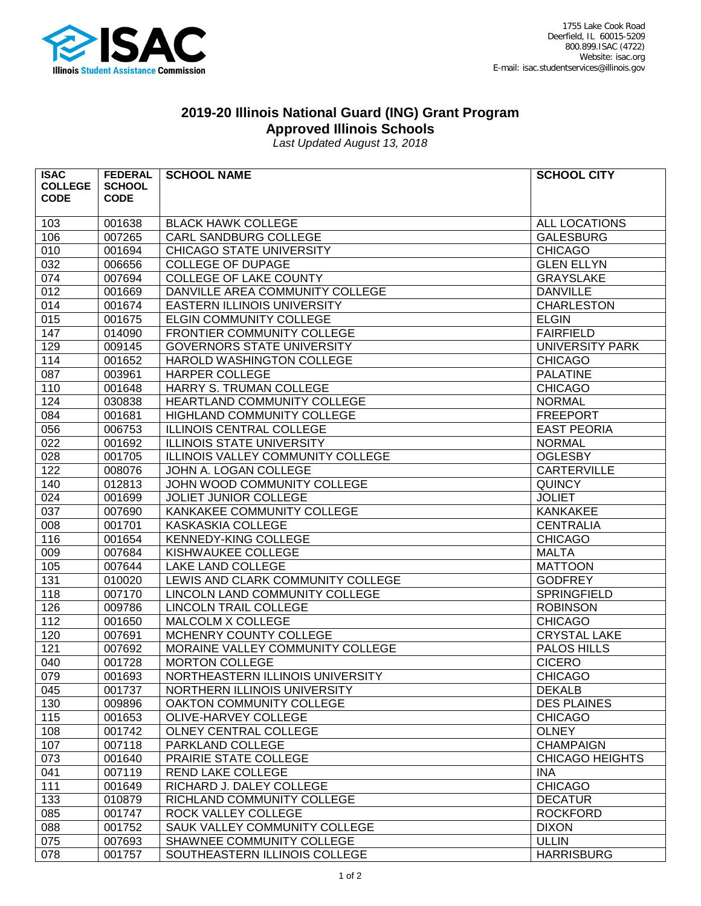

## **2019-20 Illinois National Guard (ING) Grant Program**

**Approved Illinois Schools**

*Last Updated August 13, 2018*

| <b>ISAC</b>    | <b>FEDERAL</b> | <b>SCHOOL NAME</b>                | <b>SCHOOL CITY</b>     |
|----------------|----------------|-----------------------------------|------------------------|
| <b>COLLEGE</b> | <b>SCHOOL</b>  |                                   |                        |
| <b>CODE</b>    | <b>CODE</b>    |                                   |                        |
| 103            | 001638         | <b>BLACK HAWK COLLEGE</b>         | ALL LOCATIONS          |
| 106            | 007265         | CARL SANDBURG COLLEGE             | <b>GALESBURG</b>       |
| 010            | 001694         | <b>CHICAGO STATE UNIVERSITY</b>   | <b>CHICAGO</b>         |
| 032            | 006656         | <b>COLLEGE OF DUPAGE</b>          | <b>GLEN ELLYN</b>      |
| 074            | 007694         | COLLEGE OF LAKE COUNTY            | <b>GRAYSLAKE</b>       |
| 012            | 001669         | DANVILLE AREA COMMUNITY COLLEGE   | <b>DANVILLE</b>        |
| 014            | 001674         | EASTERN ILLINOIS UNIVERSITY       | <b>CHARLESTON</b>      |
| 015            | 001675         | ELGIN COMMUNITY COLLEGE           | <b>ELGIN</b>           |
| 147            | 014090         | FRONTIER COMMUNITY COLLEGE        | <b>FAIRFIELD</b>       |
| 129            | 009145         | <b>GOVERNORS STATE UNIVERSITY</b> | <b>UNIVERSITY PARK</b> |
| 114            | 001652         | HAROLD WASHINGTON COLLEGE         | <b>CHICAGO</b>         |
| 087            | 003961         | HARPER COLLEGE                    | <b>PALATINE</b>        |
| 110            | 001648         | HARRY S. TRUMAN COLLEGE           | <b>CHICAGO</b>         |
| 124            | 030838         | HEARTLAND COMMUNITY COLLEGE       | <b>NORMAL</b>          |
| 084            | 001681         | HIGHLAND COMMUNITY COLLEGE        | <b>FREEPORT</b>        |
| 056            | 006753         | <b>ILLINOIS CENTRAL COLLEGE</b>   | <b>EAST PEORIA</b>     |
| 022            | 001692         | <b>ILLINOIS STATE UNIVERSITY</b>  | <b>NORMAL</b>          |
| 028            | 001705         | ILLINOIS VALLEY COMMUNITY COLLEGE | <b>OGLESBY</b>         |
| 122            | 008076         | JOHN A. LOGAN COLLEGE             | <b>CARTERVILLE</b>     |
| 140            | 012813         | JOHN WOOD COMMUNITY COLLEGE       | <b>QUINCY</b>          |
| 024            | 001699         | JOLIET JUNIOR COLLEGE             | <b>JOLIET</b>          |
| 037            | 007690         | KANKAKEE COMMUNITY COLLEGE        | <b>KANKAKEE</b>        |
| 008            | 001701         | KASKASKIA COLLEGE                 | <b>CENTRALIA</b>       |
| 116            | 001654         | KENNEDY-KING COLLEGE              | <b>CHICAGO</b>         |
| 009            | 007684         | KISHWAUKEE COLLEGE                | <b>MALTA</b>           |
| 105            | 007644         | LAKE LAND COLLEGE                 | <b>MATTOON</b>         |
| 131            | 010020         | LEWIS AND CLARK COMMUNITY COLLEGE | <b>GODFREY</b>         |
| 118            | 007170         | LINCOLN LAND COMMUNITY COLLEGE    | SPRINGFIELD            |
| 126            | 009786         | <b>LINCOLN TRAIL COLLEGE</b>      | <b>ROBINSON</b>        |
| 112            | 001650         | MALCOLM X COLLEGE                 | <b>CHICAGO</b>         |
| 120            | 007691         | MCHENRY COUNTY COLLEGE            | <b>CRYSTAL LAKE</b>    |
| 121            | 007692         | MORAINE VALLEY COMMUNITY COLLEGE  | <b>PALOS HILLS</b>     |
| 040            | 001728         | <b>MORTON COLLEGE</b>             | <b>CICERO</b>          |
| 079            | 001693         | NORTHEASTERN ILLINOIS UNIVERSITY  | <b>CHICAGO</b>         |
| 045            | 001737         | NORTHERN ILLINOIS UNIVERSITY      | <b>DEKALB</b>          |
| 130            | 009896         | OAKTON COMMUNITY COLLEGE          | <b>DES PLAINES</b>     |
| 115            | 001653         | OLIVE-HARVEY COLLEGE              | <b>CHICAGO</b>         |
| 108            | 001742         | OLNEY CENTRAL COLLEGE             | <b>OLNEY</b>           |
| 107            | 007118         | PARKLAND COLLEGE                  | <b>CHAMPAIGN</b>       |
| 073            | 001640         | PRAIRIE STATE COLLEGE             | <b>CHICAGO HEIGHTS</b> |
| 041            | 007119         | <b>REND LAKE COLLEGE</b>          | <b>INA</b>             |
| 111            | 001649         | RICHARD J. DALEY COLLEGE          | <b>CHICAGO</b>         |
| 133            | 010879         | RICHLAND COMMUNITY COLLEGE        | <b>DECATUR</b>         |
| 085            | 001747         | ROCK VALLEY COLLEGE               | <b>ROCKFORD</b>        |
| 088            | 001752         | SAUK VALLEY COMMUNITY COLLEGE     | <b>DIXON</b>           |
| 075            | 007693         | SHAWNEE COMMUNITY COLLEGE         | <b>ULLIN</b>           |
| 078            | 001757         | SOUTHEASTERN ILLINOIS COLLEGE     | <b>HARRISBURG</b>      |